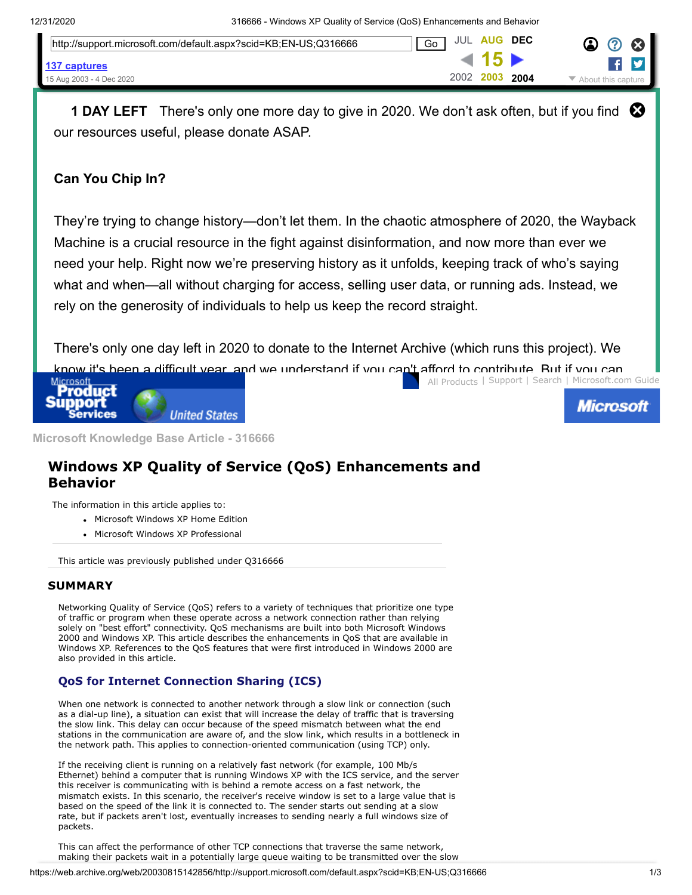| http://support.microsoft.com/default.aspx?scid=KB;EN-US;Q316666 | <b>JUL AUG</b><br>Go |        | DEC  | $\boldsymbol{\Omega}$<br>- 63                                  |
|-----------------------------------------------------------------|----------------------|--------|------|----------------------------------------------------------------|
| 137 captures                                                    |                      | 41 T.N |      |                                                                |
| 15 Aug 2003 - 4 Dec 2020                                        | 2002 2003            |        | 2004 | $\blacktriangleright$ About this capture $\blacktriangleright$ |

**1 DAY LEFT** There's only one more day to give in 2020. We don't ask often, but if you find  $\bigotimes$ our resources useful, please donate ASAP.

## **Can You Chip In?**

They're trying to change history—don't let them. In the chaotic atmosphere of 2020, the Wayback Machine is a crucial resource in the fight against disinformation, and now more than ever we need your help. Right now we're preserving history as it unfolds, keeping track of who's saying what and when—all without charging for access, selling user data, or running ads. Instead, we rely on the generosity of individuals to help us keep the record straight.

 [All Products](https://web.archive.org/web/20030815142856/http://support.microsoft.com/isapi/gomscom.asp?target=/catalog/default.asp?subid=22) | [Support](https://web.archive.org/web/20030815142856/http://www.microsoft.com/support) | [Search](https://web.archive.org/web/20030815142856/http://support.microsoft.com/isapi/gosearch.asp?target=/us/default.asp) | [Microsoft.com Guide](https://web.archive.org/web/20030815142856/http://support.microsoft.com/isapi/gomscom.asp?target=/) There's only one day left in 2020 to donate to the Internet Archive (which runs this project). We know it's been a [difficult](https://web.archive.org/web/20030815142856/http://support.microsoft.com/default.aspx) year, and we understand if you can't afford to contribute. But if you can<br>Microsoft Letter Microsoft.com





**Microsoft Knowledge Base Article - 316666**

# **Windows XP Quality of Service (QoS) Enhancements and Behavior**

The information in this article applies to:

- Microsoft Windows XP Home Edition
- Microsoft Windows XP Professional

This article was previously published under Q316666

#### **SUMMARY**

Networking Quality of Service (QoS) refers to a variety of techniques that prioritize one type of traffic or program when these operate across a network connection rather than relying solely on "best effort" connectivity. QoS mechanisms are built into both Microsoft Windows 2000 and Windows XP. This article describes the enhancements in QoS that are available in Windows XP. References to the QoS features that were first introduced in Windows 2000 are also provided in this article.

### **QoS for Internet Connection Sharing (ICS)**

When one network is connected to another network through a slow link or connection (such as a dial-up line), a situation can exist that will increase the delay of traffic that is traversing the slow link. This delay can occur because of the speed mismatch between what the end stations in the communication are aware of, and the slow link, which results in a bottleneck in the network path. This applies to connection-oriented communication (using TCP) only.

If the receiving client is running on a relatively fast network (for example, 100 Mb/s Ethernet) behind a computer that is running Windows XP with the ICS service, and the server this receiver is communicating with is behind a remote access on a fast network, the mismatch exists. In this scenario, the receiver's receive window is set to a large value that is based on the speed of the link it is connected to. The sender starts out sending at a slow rate, but if packets aren't lost, eventually increases to sending nearly a full windows size of packets.

This can affect the performance of other TCP connections that traverse the same network, making their packets wait in a potentially large queue waiting to be transmitted over the slow